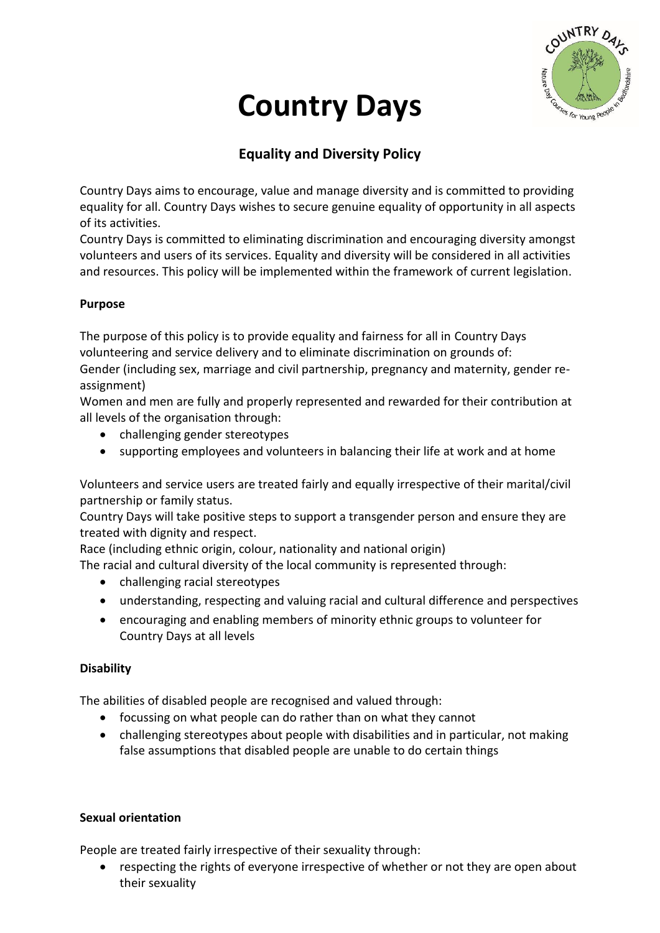

# **Country Days**

# **Equality and Diversity Policy**

Country Days aims to encourage, value and manage diversity and is committed to providing equality for all. Country Days wishes to secure genuine equality of opportunity in all aspects of its activities.

Country Days is committed to eliminating discrimination and encouraging diversity amongst volunteers and users of its services. Equality and diversity will be considered in all activities and resources. This policy will be implemented within the framework of current legislation.

### **Purpose**

The purpose of this policy is to provide equality and fairness for all in Country Days volunteering and service delivery and to eliminate discrimination on grounds of: Gender (including sex, marriage and civil partnership, pregnancy and maternity, gender reassignment)

Women and men are fully and properly represented and rewarded for their contribution at all levels of the organisation through:

- challenging gender stereotypes
- supporting employees and volunteers in balancing their life at work and at home

Volunteers and service users are treated fairly and equally irrespective of their marital/civil partnership or family status.

Country Days will take positive steps to support a transgender person and ensure they are treated with dignity and respect.

Race (including ethnic origin, colour, nationality and national origin)

The racial and cultural diversity of the local community is represented through:

- challenging racial stereotypes
- understanding, respecting and valuing racial and cultural difference and perspectives
- encouraging and enabling members of minority ethnic groups to volunteer for Country Days at all levels

## **Disability**

The abilities of disabled people are recognised and valued through:

- focussing on what people can do rather than on what they cannot
- challenging stereotypes about people with disabilities and in particular, not making false assumptions that disabled people are unable to do certain things

#### **Sexual orientation**

People are treated fairly irrespective of their sexuality through:

 respecting the rights of everyone irrespective of whether or not they are open about their sexuality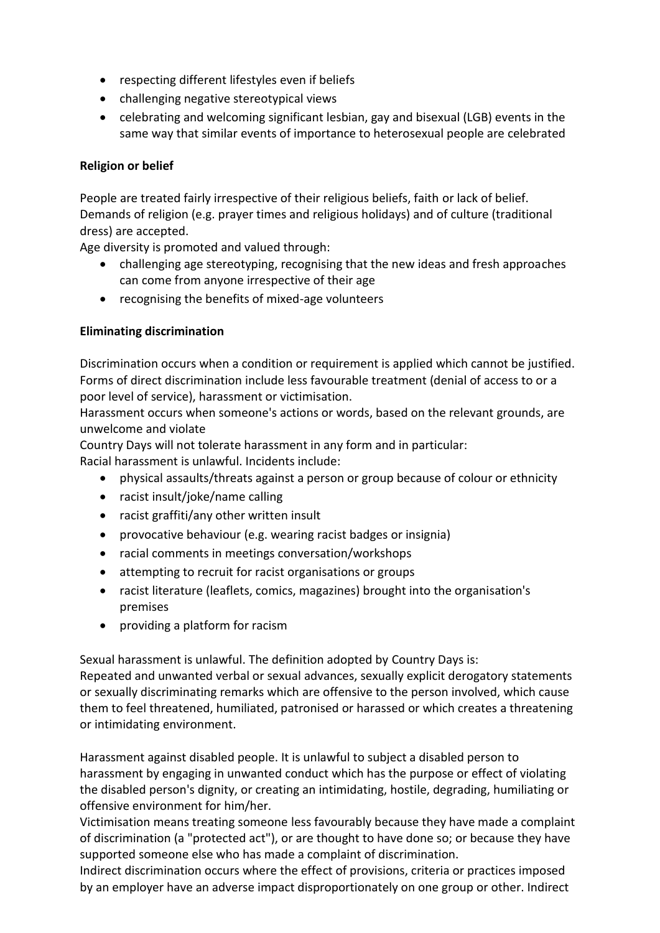- respecting different lifestyles even if beliefs
- challenging negative stereotypical views
- celebrating and welcoming significant lesbian, gay and bisexual (LGB) events in the same way that similar events of importance to heterosexual people are celebrated

#### **Religion or belief**

People are treated fairly irrespective of their religious beliefs, faith or lack of belief. Demands of religion (e.g. prayer times and religious holidays) and of culture (traditional dress) are accepted.

Age diversity is promoted and valued through:

- challenging age stereotyping, recognising that the new ideas and fresh approaches can come from anyone irrespective of their age
- recognising the benefits of mixed-age volunteers

#### **Eliminating discrimination**

Discrimination occurs when a condition or requirement is applied which cannot be justified. Forms of direct discrimination include less favourable treatment (denial of access to or a poor level of service), harassment or victimisation.

Harassment occurs when someone's actions or words, based on the relevant grounds, are unwelcome and violate

Country Days will not tolerate harassment in any form and in particular: Racial harassment is unlawful. Incidents include:

- physical assaults/threats against a person or group because of colour or ethnicity
- racist insult/joke/name calling
- racist graffiti/any other written insult
- provocative behaviour (e.g. wearing racist badges or insignia)
- racial comments in meetings conversation/workshops
- attempting to recruit for racist organisations or groups
- racist literature (leaflets, comics, magazines) brought into the organisation's premises
- providing a platform for racism

Sexual harassment is unlawful. The definition adopted by Country Days is:

Repeated and unwanted verbal or sexual advances, sexually explicit derogatory statements or sexually discriminating remarks which are offensive to the person involved, which cause them to feel threatened, humiliated, patronised or harassed or which creates a threatening or intimidating environment.

Harassment against disabled people. It is unlawful to subject a disabled person to harassment by engaging in unwanted conduct which has the purpose or effect of violating the disabled person's dignity, or creating an intimidating, hostile, degrading, humiliating or offensive environment for him/her.

Victimisation means treating someone less favourably because they have made a complaint of discrimination (a "protected act"), or are thought to have done so; or because they have supported someone else who has made a complaint of discrimination.

Indirect discrimination occurs where the effect of provisions, criteria or practices imposed by an employer have an adverse impact disproportionately on one group or other. Indirect